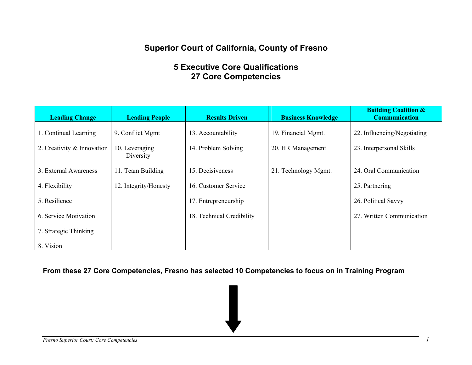# **Superior Court of California, County of Fresno**

# **5 Executive Core Qualifications 27 Core Competencies**

| <b>Leading Change</b>      | <b>Leading People</b>       | <b>Results Driven</b>     | <b>Business Knowledge</b> | <b>Building Coalition &amp;</b><br><b>Communication</b> |
|----------------------------|-----------------------------|---------------------------|---------------------------|---------------------------------------------------------|
| 1. Continual Learning      | 9. Conflict Mgmt            | 13. Accountability        | 19. Financial Mgmt.       | 22. Influencing/Negotiating                             |
| 2. Creativity & Innovation | 10. Leveraging<br>Diversity | 14. Problem Solving       | 20. HR Management         | 23. Interpersonal Skills                                |
| 3. External Awareness      | 11. Team Building           | 15. Decisiveness          | 21. Technology Mgmt.      | 24. Oral Communication                                  |
| 4. Flexibility             | 12. Integrity/Honesty       | 16. Customer Service      |                           | 25. Partnering                                          |
| 5. Resilience              |                             | 17. Entrepreneurship      |                           | 26. Political Savvy                                     |
| 6. Service Motivation      |                             | 18. Technical Credibility |                           | 27. Written Communication                               |
| 7. Strategic Thinking      |                             |                           |                           |                                                         |
| 8. Vision                  |                             |                           |                           |                                                         |

**From these 27 Core Competencies, Fresno has selected 10 Competencies to focus on in Training Program**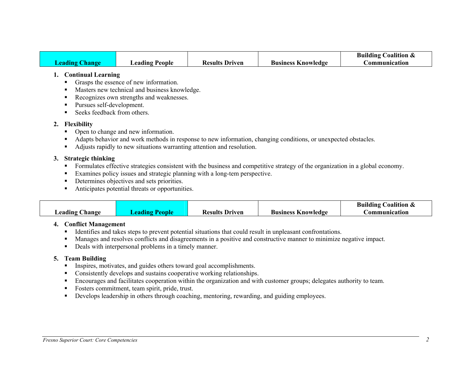|                       |                |                       |                           | <b>Building Coalition &amp;</b> |
|-----------------------|----------------|-----------------------|---------------------------|---------------------------------|
| <b>Leading Change</b> | Leading People | <b>Results Driven</b> | <b>Business Knowledge</b> | Communication                   |

#### **1. Continual Learning**

- Grasps the essence of new information.
- Masters new technical and business knowledge.
- Recognizes own strengths and weaknesses.
- **Pursues self-development.**
- Seeks feedback from others.

## **2. Flexibility**

- Open to change and new information.
- Adapts behavior and work methods in response to new information, changing conditions, or unexpected obstacles.
- Adjusts rapidly to new situations warranting attention and resolution.

## **3. Strategic thinking**

- Formulates effective strategies consistent with the business and competitive strategy of the organization in a global economy.
- Examines policy issues and strategic planning with a long-tem perspective.
- Determines objectives and sets priorities.
- Anticipates potential threats or opportunities.

|                                   |                       |                                                    | <b>Building Coalition &amp;</b> |
|-----------------------------------|-----------------------|----------------------------------------------------|---------------------------------|
| $\text{Leading}$<br><b>Change</b> | <b>Results Driven</b> | <b>Business Knowledge</b><br><i>C</i> ommunication |                                 |

# **4. Conflict Management**

- Identifies and takes steps to prevent potential situations that could result in unpleasant confrontations.
- Manages and resolves conflicts and disagreements in a positive and constructive manner to minimize negative impact.
- Deals with interpersonal problems in a timely manner.

## **5. Team Building**

- Inspires, motivates, and guides others toward goal accomplishments.
- Consistently develops and sustains cooperative working relationships.
- Encourages and facilitates cooperation within the organization and with customer groups; delegates authority to team.
- Fosters commitment, team spirit, pride, trust.
- Develops leadership in others through coaching, mentoring, rewarding, and guiding employees.